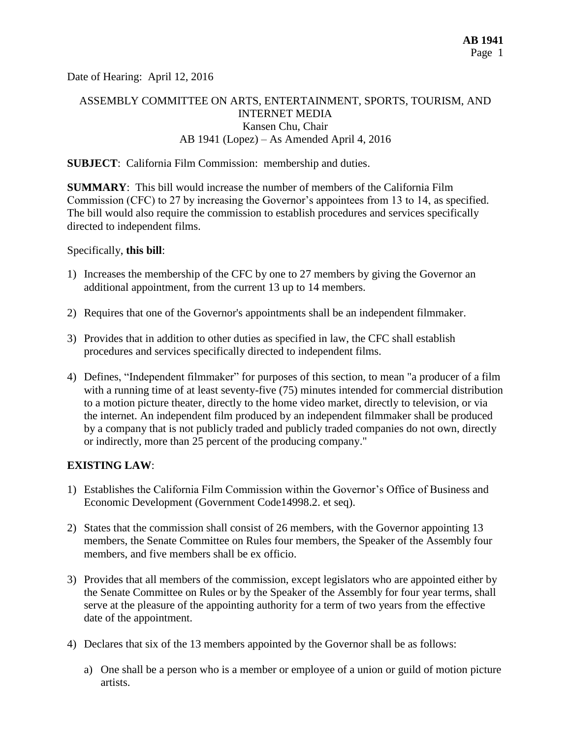Date of Hearing: April 12, 2016

# ASSEMBLY COMMITTEE ON ARTS, ENTERTAINMENT, SPORTS, TOURISM, AND INTERNET MEDIA Kansen Chu, Chair AB 1941 (Lopez) – As Amended April 4, 2016

#### **SUBJECT**: California Film Commission: membership and duties.

**SUMMARY**: This bill would increase the number of members of the California Film Commission (CFC) to 27 by increasing the Governor's appointees from 13 to 14, as specified. The bill would also require the commission to establish procedures and services specifically directed to independent films.

Specifically, **this bill**:

- 1) Increases the membership of the CFC by one to 27 members by giving the Governor an additional appointment, from the current 13 up to 14 members.
- 2) Requires that one of the Governor's appointments shall be an independent filmmaker.
- 3) Provides that in addition to other duties as specified in law, the CFC shall establish procedures and services specifically directed to independent films.
- 4) Defines, "Independent filmmaker" for purposes of this section, to mean "a producer of a film with a running time of at least seventy-five (75) minutes intended for commercial distribution to a motion picture theater, directly to the home video market, directly to television, or via the internet. An independent film produced by an independent filmmaker shall be produced by a company that is not publicly traded and publicly traded companies do not own, directly or indirectly, more than 25 percent of the producing company."

#### **EXISTING LAW**:

- 1) Establishes the California Film Commission within the Governor's Office of Business and Economic Development (Government Code14998.2. et seq).
- 2) States that the commission shall consist of 26 members, with the Governor appointing 13 members, the Senate Committee on Rules four members, the Speaker of the Assembly four members, and five members shall be ex officio.
- 3) Provides that all members of the commission, except legislators who are appointed either by the Senate Committee on Rules or by the Speaker of the Assembly for four year terms, shall serve at the pleasure of the appointing authority for a term of two years from the effective date of the appointment.
- 4) Declares that six of the 13 members appointed by the Governor shall be as follows:
	- a) One shall be a person who is a member or employee of a union or guild of motion picture artists.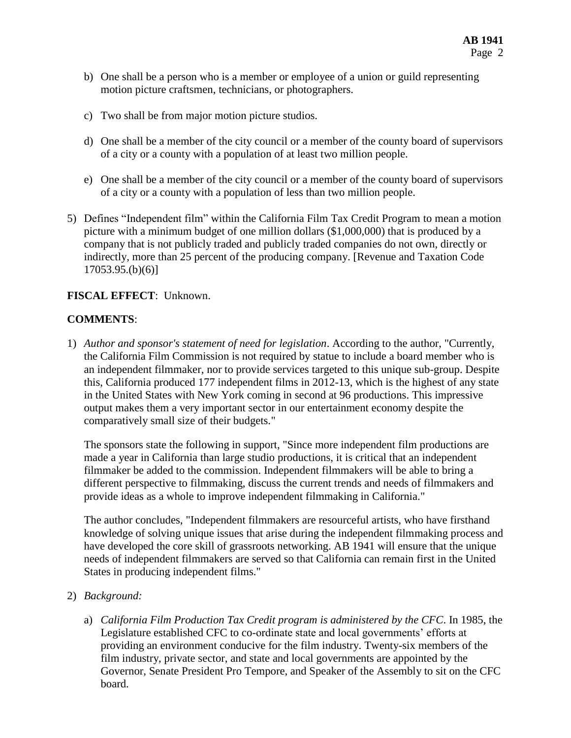- b) One shall be a person who is a member or employee of a union or guild representing motion picture craftsmen, technicians, or photographers.
- c) Two shall be from major motion picture studios.
- d) One shall be a member of the city council or a member of the county board of supervisors of a city or a county with a population of at least two million people.
- e) One shall be a member of the city council or a member of the county board of supervisors of a city or a county with a population of less than two million people.
- 5) Defines "Independent film" within the California Film Tax Credit Program to mean a motion picture with a minimum budget of one million dollars (\$1,000,000) that is produced by a company that is not publicly traded and publicly traded companies do not own, directly or indirectly, more than 25 percent of the producing company. [Revenue and Taxation Code 17053.95.(b)(6)]

### **FISCAL EFFECT**: Unknown.

#### **COMMENTS**:

1) *Author and sponsor's statement of need for legislation*. According to the author, "Currently, the California Film Commission is not required by statue to include a board member who is an independent filmmaker, nor to provide services targeted to this unique sub-group. Despite this, California produced 177 independent films in 2012-13, which is the highest of any state in the United States with New York coming in second at 96 productions. This impressive output makes them a very important sector in our entertainment economy despite the comparatively small size of their budgets."

The sponsors state the following in support, "Since more independent film productions are made a year in California than large studio productions, it is critical that an independent filmmaker be added to the commission. Independent filmmakers will be able to bring a different perspective to filmmaking, discuss the current trends and needs of filmmakers and provide ideas as a whole to improve independent filmmaking in California."

The author concludes, "Independent filmmakers are resourceful artists, who have firsthand knowledge of solving unique issues that arise during the independent filmmaking process and have developed the core skill of grassroots networking. AB 1941 will ensure that the unique needs of independent filmmakers are served so that California can remain first in the United States in producing independent films."

- 2) *Background:* 
	- a) *California Film Production Tax Credit program is administered by the CFC*. In 1985, the Legislature established CFC to co-ordinate state and local governments' efforts at providing an environment conducive for the film industry. Twenty-six members of the film industry, private sector, and state and local governments are appointed by the Governor, Senate President Pro Tempore, and Speaker of the Assembly to sit on the CFC board.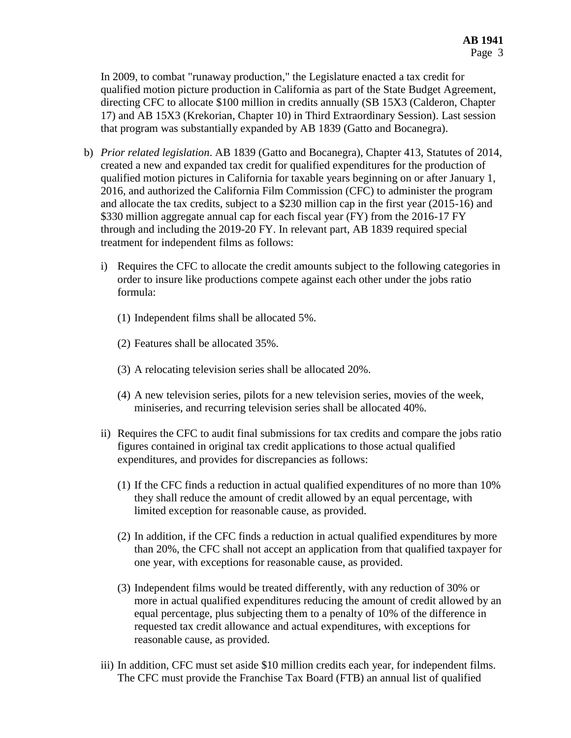In 2009, to combat "runaway production," the Legislature enacted a tax credit for qualified motion picture production in California as part of the State Budget Agreement, directing CFC to allocate \$100 million in credits annually (SB 15X3 (Calderon, Chapter 17) and AB 15X3 (Krekorian, Chapter 10) in Third Extraordinary Session). Last session that program was substantially expanded by AB 1839 (Gatto and Bocanegra).

- b) *Prior related legislation*. AB 1839 (Gatto and Bocanegra), Chapter 413, Statutes of 2014, created a new and expanded tax credit for qualified expenditures for the production of qualified motion pictures in California for taxable years beginning on or after January 1, 2016, and authorized the California Film Commission (CFC) to administer the program and allocate the tax credits, subject to a \$230 million cap in the first year (2015-16) and \$330 million aggregate annual cap for each fiscal year (FY) from the 2016-17 FY through and including the 2019-20 FY. In relevant part, AB 1839 required special treatment for independent films as follows:
	- i) Requires the CFC to allocate the credit amounts subject to the following categories in order to insure like productions compete against each other under the jobs ratio formula:
		- (1) Independent films shall be allocated 5%.
		- (2) Features shall be allocated 35%.
		- (3) A relocating television series shall be allocated 20%.
		- (4) A new television series, pilots for a new television series, movies of the week, miniseries, and recurring television series shall be allocated 40%.
	- ii) Requires the CFC to audit final submissions for tax credits and compare the jobs ratio figures contained in original tax credit applications to those actual qualified expenditures, and provides for discrepancies as follows:
		- (1) If the CFC finds a reduction in actual qualified expenditures of no more than 10% they shall reduce the amount of credit allowed by an equal percentage, with limited exception for reasonable cause, as provided.
		- (2) In addition, if the CFC finds a reduction in actual qualified expenditures by more than 20%, the CFC shall not accept an application from that qualified taxpayer for one year, with exceptions for reasonable cause, as provided.
		- (3) Independent films would be treated differently, with any reduction of 30% or more in actual qualified expenditures reducing the amount of credit allowed by an equal percentage, plus subjecting them to a penalty of 10% of the difference in requested tax credit allowance and actual expenditures, with exceptions for reasonable cause, as provided.
	- iii) In addition, CFC must set aside \$10 million credits each year, for independent films. The CFC must provide the Franchise Tax Board (FTB) an annual list of qualified